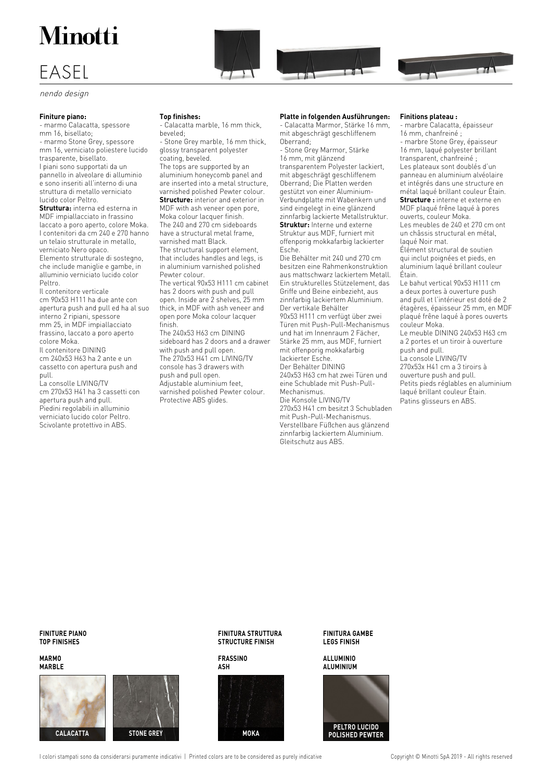# **Minotti**

# EASEL

nendo design

#### **Finiture piano:**

- marmo Calacatta, spessore mm 16, bisellato; - marmo Stone Grey, spessore mm 16, verniciato poliestere lucido trasparente, bisellato. I piani sono supportati da un pannello in alveolare di alluminio e sono inseriti all'interno di una struttura di metallo verniciato lucido color Peltro. **Struttura:** interna ed esterna in

MDF impiallacciato in frassino laccato a poro aperto, colore Moka. I contenitori da cm 240 e 270 hanno un telaio strutturale in metallo, verniciato Nero opaco. Elemento strutturale di sostegno, che include maniglie e gambe, in alluminio verniciato lucido color Peltro.

Il contenitore verticale cm 90x53 H111 ha due ante con apertura push and pull ed ha al suo interno 2 ripiani, spessore mm 25, in MDF impiallacciato frassino, laccato a poro aperto colore Moka. Il contenitore DINING

cm 240x53 H63 ha 2 ante e un cassetto con apertura push and pull.

La consolle LIVING/TV cm 270x53 H41 ha 3 cassetti con apertura push and pull. Piedini regolabili in alluminio verniciato lucido color Peltro. Scivolante protettivo in ABS.

#### **Top finishes:**

- Calacatta marble, 16 mm thick, beveled;

- Stone Grey marble, 16 mm thick, glossy transparent polyester coating, beveled.

The tops are supported by an aluminium honeycomb panel and are inserted into a metal structure, varnished polished Pewter colour. **Structure:** interior and exterior in MDF with ash veneer open pore, Moka colour lacquer finish. The 240 and 270 cm sideboards have a structural metal frame, varnished matt Black. The structural support element, that includes handles and legs, is in aluminium varnished polished Pewter colour. The vertical 90x53 H111 cm cabinet has 2 doors with push and pull open. Inside are 2 shelves, 25 mm thick, in MDF with ash veneer and open pore Moka colour lacquer

finish. The 240x53 H63 cm DINING sideboard has 2 doors and a drawer with push and pull open. The 270x53 H41 cm LIVING/TV console has 3 drawers with push and pull open. Adjustable aluminium feet, varnished polished Pewter colour. Protective ABS glides.

#### **Platte in folgenden Ausführungen:**

TE

- Calacatta Marmor, Stärke 16 mm, mit abgeschrägt geschliffenem Oberrand;

- Stone Grey Marmor, Stärke 16 mm, mit glänzend transparentem Polyester lackiert, mit abgeschrägt geschliffenem Oberrand; Die Platten werden gestützt von einer Aluminium-Verbundplatte mit Wabenkern und sind eingelegt in eine glänzend zinnfarbig lackierte Metallstruktur. **Struktur:** Interne und externe Struktur aus MDF, furniert mit offenporig mokkafarbig lackierter Esche.

Die Behälter mit 240 und 270 cm besitzen eine Rahmenkonstruktion aus mattschwarz lackiertem Metall. Ein strukturelles Stützelement, das Griffe und Beine einbezieht, aus zinnfarbig lackiertem Aluminium. Der vertikale Behälter 90x53 H111 cm verfügt über zwei

Türen mit Push-Pull-Mechanismus und hat im Innenraum 2 Fächer, Stärke 25 mm, aus MDF, furniert mit offenporig mokkafarbig lackierter Esche.

Der Behälter DINING 240x53 H63 cm hat zwei Türen und

eine Schublade mit Push-Pull-Mechanismus.

Die Konsole LIVING/TV 270x53 H41 cm besitzt 3 Schubladen mit Push-Pull-Mechanismus. Verstellbare Füßchen aus glänzend zinnfarbig lackiertem Aluminium. Gleitschutz aus ABS.

#### **Finitions plateau :**

- marbre Calacatta, épaisseur 16 mm, chanfreiné ;

 $\overline{1}$ 

- marbre Stone Grey, épaisseur 16 mm, laqué polyester brillant transparent, chanfreiné ; Les plateaux sont doublés d'un panneau en aluminium alvéolaire et intégrés dans une structure en métal laqué brillant couleur Étain. **Structure :** interne et externe en MDF plaqué frêne laqué à pores ouverts, couleur Moka.

Les meubles de 240 et 270 cm ont un châssis structural en métal, laqué Noir mat.

Élément structural de soutien qui inclut poignées et pieds, en aluminium laqué brillant couleur Étain.

Le bahut vertical 90x53 H111 cm a deux portes à ouverture push and pull et l'intérieur est doté de 2 étagères, épaisseur 25 mm, en MDF plaqué frêne laqué à pores ouverts couleur Moka.

Le meuble DINING 240x53 H63 cm a 2 portes et un tiroir à ouverture push and pull.

La console LIVING/TV 270x53x H41 cm a 3 tiroirs à ouverture push and pull. Petits pieds réglables en aluminium laqué brillant couleur Étain. Patins glisseurs en ABS.

**FINITURE PIANO TOP FINISHES**

**MARMO MARBLE**





**FINITURA STRUTTURA STRUCTURE FINISH**

**FRASSINO ASH**



**FINITURA GAMBE LEGS FINISH**

**ALLUMINIO ALUMINIUM**